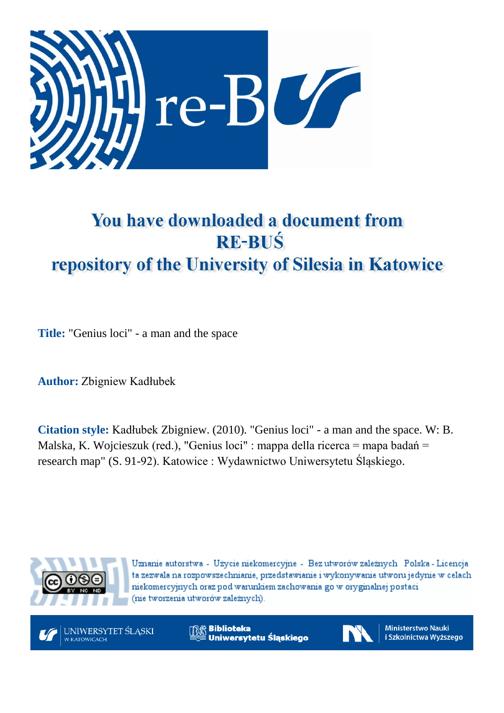

## You have downloaded a document from **RE-BUŚ** repository of the University of Silesia in Katowice

**Title:** "Genius loci" - a man and the space

**Author:** Zbigniew Kadłubek

**Citation style:** Kadłubek Zbigniew. (2010). "Genius loci" - a man and the space. W: B. Malska, K. Wojcieszuk (red.), "Genius loci" : mappa della ricerca = mapa badań = research map" (S. 91-92). Katowice : Wydawnictwo Uniwersytetu Śląskiego.



Uznanie autorstwa - Użycie niekomercyjne - Bez utworów zależnych Polska - Licencja ta zezwala na rozpowszechnianie, przedstawianie i wykonywanie utworu jedynie w celach niekomercyjnych oraz pod warunkiem zachowania go w oryginalnej postaci (nie tworzenia utworów zależnych).



**Biblioteka** Uniwersytetu Śląskiego



**Ministerstwo Nauki** i Szkolnictwa Wyższego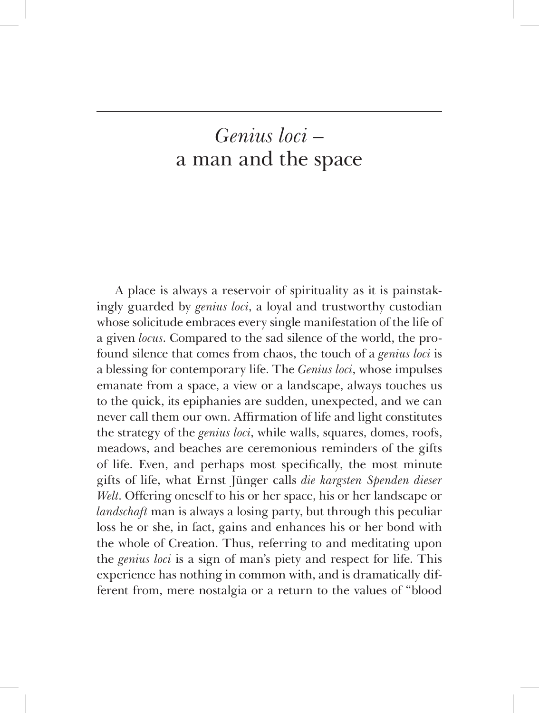## *Genius loci* – a man and the space

A place is always a reservoir of spirituality as it is painstak‑ ingly guarded by *genius loci*, a loyal and trustworthy custodian whose solicitude embraces every single manifestation of the life of a given *locus*. Compared to the sad silence of the world, the profound silence that comes from chaos, the touch of a *genius loci* is a blessing for contemporary life. The *Genius loci*, whose impulses emanate from a space, a view or a landscape, always touches us to the quick, its epiphanies are sudden, unexpected, and we can never call them our own. Affirmation of life and light constitutes the strategy of the *genius loci*, while walls, squares, domes, roofs, meadows, and beaches are ceremonious reminders of the gifts of life. Even, and perhaps most specifically, the most minute gifts of life, what Ernst Jünger calls *die kargsten Spenden dieser Welt*. Offering oneself to his or her space, his or her landscape or *landschaft* man is always a losing party, but through this peculiar loss he or she, in fact, gains and enhances his or her bond with the whole of Creation. Thus, referring to and meditating upon the *genius loci* is a sign of man's piety and respect for life. This experience has nothing in common with, and is dramatically different from, mere nostalgia or a return to the values of "blood